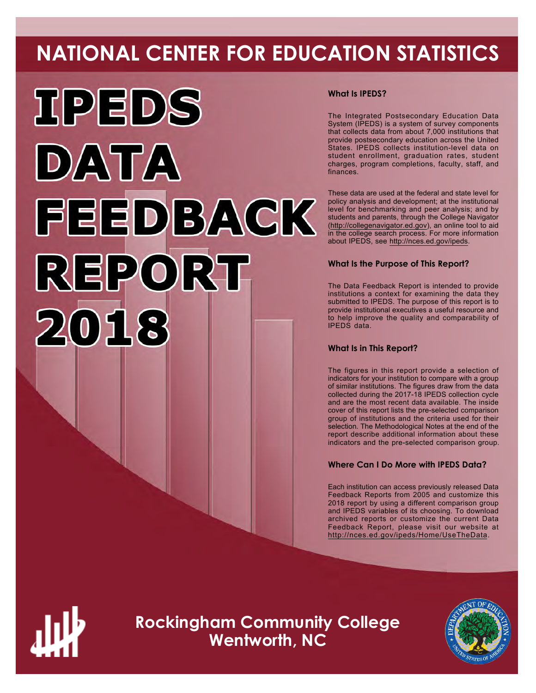# **NATIONAL CENTER FOR EDUCATION STATISTICS**



# **What Is IPEDS?**

The Integrated Postsecondary Education Data System (IPEDS) is a system of survey components that collects data from about 7,000 institutions that provide postsecondary education across the United States. IPEDS collects institution-level data on student enrollment, graduation rates, student charges, program completions, faculty, staff, and finances.

These data are used at the federal and state level for policy analysis and development; at the institutional level for benchmarking and peer analysis; and by students and parents, through the College Navigator ([http://collegenavigator.ed.gov\)](http://collegenavigator.ed.gov), an online tool to aid in the college search process. For more information about IPEDS, see [http://nces.ed.gov/ipeds.](http://nces.ed.gov/ipeds)

# **What Is the Purpose of This Report?**

The Data Feedback Report is intended to provide institutions a context for examining the data they submitted to IPEDS. The purpose of this report is to provide institutional executives a useful resource and to help improve the quality and comparability of IPEDS data.

# **What Is in This Report?**

The figures in this report provide a selection of indicators for your institution to compare with a group of similar institutions. The figures draw from the data collected during the 2017-18 IPEDS collection cycle and are the most recent data available. The inside cover of this report lists the pre-selected comparison group of institutions and the criteria used for their selection. The Methodological Notes at the end of the report describe additional information about these indicators and the pre-selected comparison group.

# **Where Can I Do More with IPEDS Data?**

Each institution can access previously released Data Feedback Reports from 2005 and customize this 2018 report by using a different comparison group and IPEDS variables of its choosing. To download archived reports or customize the current Data Feedback Report, please visit our website at <http://nces.ed.gov/ipeds/Home/UseTheData>.



**Rockingham Community College Wentworth, NC**

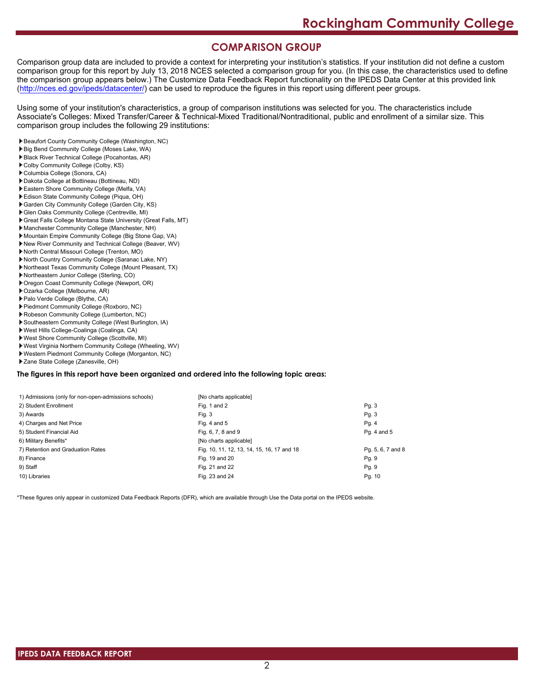# **COMPARISON GROUP**

Comparison group data are included to provide a context for interpreting your institution's statistics. If your institution did not define a custom comparison group for this report by July 13, 2018 NCES selected a comparison group for you. (In this case, the characteristics used to define the comparison group appears below.) The Customize Data Feedback Report functionality on the IPEDS Data Center at this provided link [\(http://nces.ed.gov/ipeds/datacenter/\)](http://nces.ed.gov/ipeds/datacenter/) can be used to reproduce the figures in this report using different peer groups.

Using some of your institution's characteristics, a group of comparison institutions was selected for you. The characteristics include Associate's Colleges: Mixed Transfer/Career & Technical-Mixed Traditional/Nontraditional, public and enrollment of a similar size. This comparison group includes the following 29 institutions:

- Beaufort County Community College (Washington, NC)
- Big Bend Community College (Moses Lake, WA)
- Black River Technical College (Pocahontas, AR)
- Colby Community College (Colby, KS)
- Columbia College (Sonora, CA)
- Dakota College at Bottineau (Bottineau, ND)
- Eastern Shore Community College (Melfa, VA)
- Edison State Community College (Piqua, OH)
- Garden City Community College (Garden City, KS) Glen Oaks Community College (Centreville, MI)
- Great Falls College Montana State University (Great Falls, MT)
- Manchester Community College (Manchester, NH)
- Mountain Empire Community College (Big Stone Gap, VA)
- New River Community and Technical College (Beaver, WV)
- North Central Missouri College (Trenton, MO)
- North Country Community College (Saranac Lake, NY)
- Northeast Texas Community College (Mount Pleasant, TX)
- Northeastern Junior College (Sterling, CO)
- Oregon Coast Community College (Newport, OR)
- Ozarka College (Melbourne, AR)
- Palo Verde College (Blythe, CA)
- Piedmont Community College (Roxboro, NC)
- Robeson Community College (Lumberton, NC)
- Southeastern Community College (West Burlington, IA)
- West Hills College-Coalinga (Coalinga, CA)
- West Shore Community College (Scottville, MI)
- West Virginia Northern Community College (Wheeling, WV)
- Western Piedmont Community College (Morganton, NC)
- Zane State College (Zanesville, OH)

### **The figures in this report have been organized and ordered into the following topic areas:**

| 1) Admissions (only for non-open-admissions schools) | [No charts applicable]                     |                   |
|------------------------------------------------------|--------------------------------------------|-------------------|
| 2) Student Enrollment                                | Fig. 1 and 2                               | Pg. 3             |
| 3) Awards                                            | Fig. 3                                     | Pg.3              |
| 4) Charges and Net Price                             | Fig. 4 and $5$                             | Pg. 4             |
| 5) Student Financial Aid                             | Fig. 6, 7, 8 and 9                         | Pg. 4 and 5       |
| 6) Military Benefits*                                | [No charts applicable]                     |                   |
| 7) Retention and Graduation Rates                    | Fig. 10, 11, 12, 13, 14, 15, 16, 17 and 18 | Pq. 5, 6, 7 and 8 |
| 8) Finance                                           | Fig. 19 and 20                             | Pg. 9             |
| 9) Staff                                             | Fig. 21 and 22                             | Pg. 9             |
| 10) Libraries                                        | Fig. 23 and 24                             | Pg. 10            |
|                                                      |                                            |                   |

\*These figures only appear in customized Data Feedback Reports (DFR), which are available through Use the Data portal on the IPEDS website.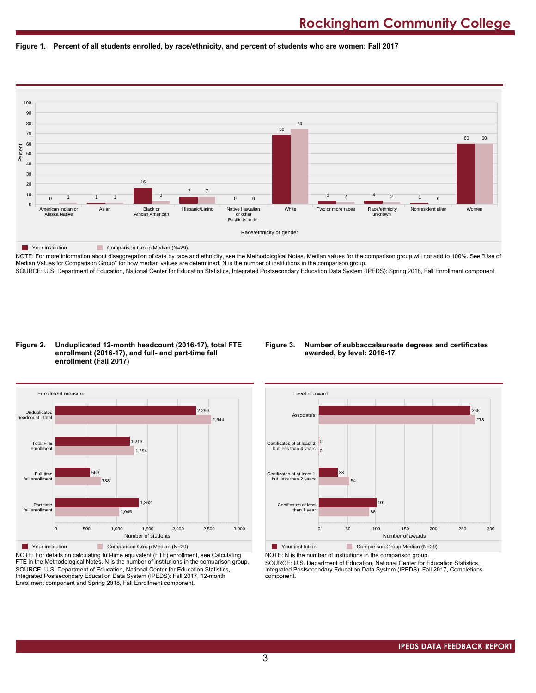



NOTE: For more information about disaggregation of data by race and ethnicity, see the Methodological Notes. Median values for the comparison group will not add to 100%. See "Use of Median Values for Comparison Group" for how median values are determined. N is the number of institutions in the comparison group. SOURCE: U.S. Department of Education, National Center for Education Statistics, Integrated Postsecondary Education Data System (IPEDS): Spring 2018, Fall Enrollment component.

#### **Figure 2. Unduplicated 12-month headcount (2016-17), total FTE enrollment (2016-17), and full- and part-time fall enrollment (Fall 2017)**

## **Figure 3. Number of subbaccalaureate degrees and certificates awarded, by level: 2016-17**



NOTE: For details on calculating full-time equivalent (FTE) enrollment, see Calculating FTE in the Methodological Notes. N is the number of institutions in the comparison group. SOURCE: U.S. Department of Education, National Center for Education Statistics, Integrated Postsecondary Education Data System (IPEDS): Fall 2017, 12-month Enrollment component and Spring 2018, Fall Enrollment component.



NOTE: N is the number of institutions in the comparison group.

SOURCE: U.S. Department of Education, National Center for Education Statistics, Integrated Postsecondary Education Data System (IPEDS): Fall 2017, Completions component.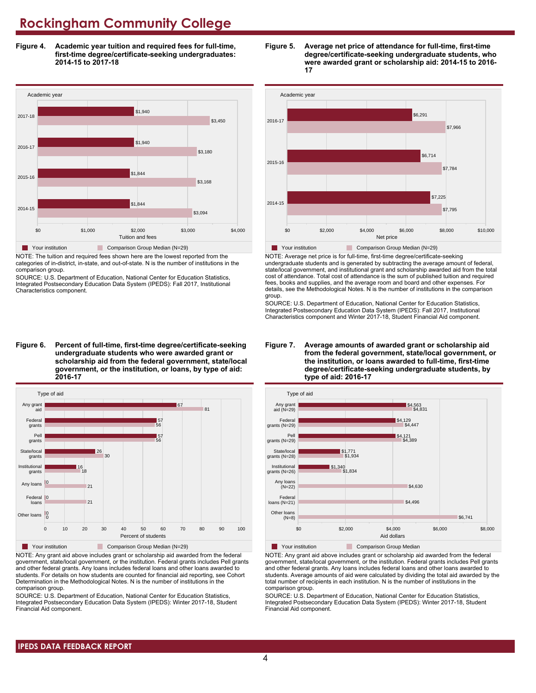**Figure 4. Academic year tuition and required fees for full-time, first-time degree/certificate-seeking undergraduates: 2014-15 to 2017-18**



NOTE: The tuition and required fees shown here are the lowest reported from the categories of in-district, in-state, and out-of-state. N is the number of institutions in the comparison group.

SOURCE: U.S. Department of Education, National Center for Education Statistics, Integrated Postsecondary Education Data System (IPEDS): Fall 2017, Institutional Characteristics component.

**Figure 6. Percent of full-time, first-time degree/certificate-seeking undergraduate students who were awarded grant or scholarship aid from the federal government, state/local government, or the institution, or loans, by type of aid: 2016-17**



NOTE: Any grant aid above includes grant or scholarship aid awarded from the federal government, state/local government, or the institution. Federal grants includes Pell grants and other federal grants. Any loans includes federal loans and other loans awarded to students. For details on how students are counted for financial aid reporting, see Cohort Determination in the Methodological Notes. N is the number of institutions in the comparison group.

SOURCE: U.S. Department of Education, National Center for Education Statistics, Integrated Postsecondary Education Data System (IPEDS): Winter 2017-18, Student Financial Aid component.





NOTE: Average net price is for full-time, first-time degree/certificate-seeking undergraduate students and is generated by subtracting the average amount of federal, state/local government, and institutional grant and scholarship awarded aid from the total cost of attendance. Total cost of attendance is the sum of published tuition and required fees, books and supplies, and the average room and board and other expenses. For details, see the Methodological Notes. N is the number of institutions in the comparison group.

SOURCE: U.S. Department of Education, National Center for Education Statistics, Integrated Postsecondary Education Data System (IPEDS): Fall 2017, Institutional Characteristics component and Winter 2017-18, Student Financial Aid component.





**The Your institution Comparison Group Median** 

NOTE: Any grant aid above includes grant or scholarship aid awarded from the federal government, state/local government, or the institution. Federal grants includes Pell grants and other federal grants. Any loans includes federal loans and other loans awarded to students. Average amounts of aid were calculated by dividing the total aid awarded by the total number of recipients in each institution. N is the number of institutions in the comparison group.

SOURCE: U.S. Department of Education, National Center for Education Statistics, Integrated Postsecondary Education Data System (IPEDS): Winter 2017-18, Student Financial Aid component.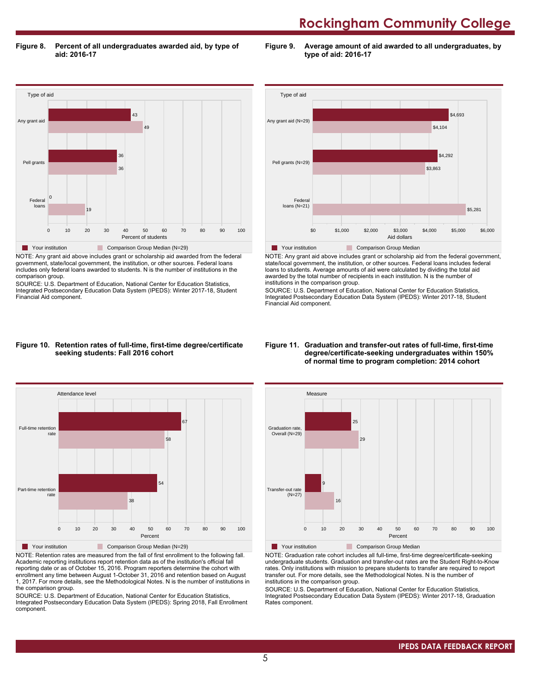**Figure 8. Percent of all undergraduates awarded aid, by type of aid: 2016-17**

**Figure 9. Average amount of aid awarded to all undergraduates, by type of aid: 2016-17**



NOTE: Any grant aid above includes grant or scholarship aid awarded from the federal government, state/local government, the institution, or other sources. Federal loans includes only federal loans awarded to students. N is the number of institutions in the comparison group.

SOURCE: U.S. Department of Education, National Center for Education Statistics, Integrated Postsecondary Education Data System (IPEDS): Winter 2017-18, Student Financial Aid component.



NOTE: Any grant aid above includes grant or scholarship aid from the federal government, state/local government, the institution, or other sources. Federal loans includes federal loans to students. Average amounts of aid were calculated by dividing the total aid awarded by the total number of recipients in each institution. N is the number of institutions in the comparison group.

SOURCE: U.S. Department of Education, National Center for Education Statistics, Integrated Postsecondary Education Data System (IPEDS): Winter 2017-18, Student Financial Aid component.

#### **Figure 10. Retention rates of full-time, first-time degree/certificate seeking students: Fall 2016 cohort**



NOTE: Retention rates are measured from the fall of first enrollment to the following fall. Academic reporting institutions report retention data as of the institution's official fall reporting date or as of October 15, 2016. Program reporters determine the cohort with enrollment any time between August 1-October 31, 2016 and retention based on August 1, 2017. For more details, see the Methodological Notes. N is the number of institutions in the comparison group.

SOURCE: U.S. Department of Education, National Center for Education Statistics, Integrated Postsecondary Education Data System (IPEDS): Spring 2018, Fall Enrollment component.

#### **Figure 11. Graduation and transfer-out rates of full-time, first-time degree/certificate-seeking undergraduates within 150% of normal time to program completion: 2014 cohort**



NOTE: Graduation rate cohort includes all full-time, first-time degree/certificate-seeking undergraduate students. Graduation and transfer-out rates are the Student Right-to-Know rates. Only institutions with mission to prepare students to transfer are required to report transfer out. For more details, see the Methodological Notes. N is the number of institutions in the comparison group.

SOURCE: U.S. Department of Education, National Center for Education Statistics, Integrated Postsecondary Education Data System (IPEDS): Winter 2017-18, Graduation Rates component.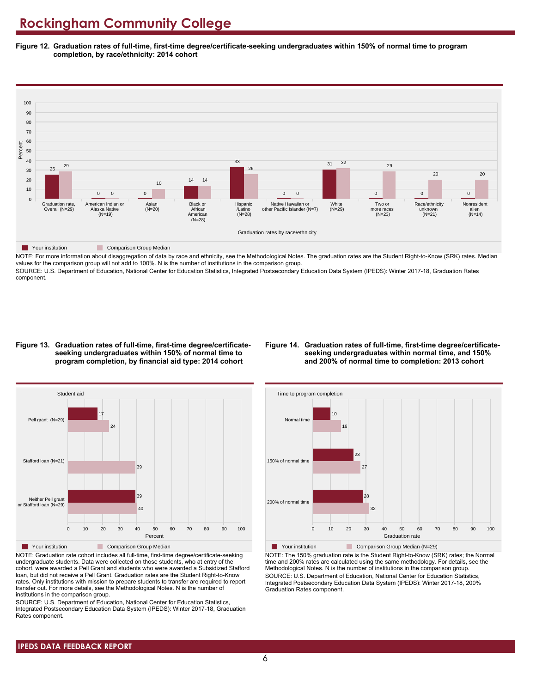**Figure 12. Graduation rates of full-time, first-time degree/certificate-seeking undergraduates within 150% of normal time to program completion, by race/ethnicity: 2014 cohort**



NOTE: For more information about disaggregation of data by race and ethnicity, see the Methodological Notes. The graduation rates are the Student Right-to-Know (SRK) rates. Median values for the comparison group will not add to 100%. N is the number of institutions in the comparison group.

SOURCE: U.S. Department of Education, National Center for Education Statistics, Integrated Postsecondary Education Data System (IPEDS): Winter 2017-18, Graduation Rates component.

#### **Figure 13. Graduation rates of full-time, first-time degree/certificateseeking undergraduates within 150% of normal time to program completion, by financial aid type: 2014 cohort**

#### **Figure 14. Graduation rates of full-time, first-time degree/certificateseeking undergraduates within normal time, and 150% and 200% of normal time to completion: 2013 cohort**



NOTE: Graduation rate cohort includes all full-time, first-time degree/certificate-seeking undergraduate students. Data were collected on those students, who at entry of the cohort, were awarded a Pell Grant and students who were awarded a Subsidized Stafford loan, but did not receive a Pell Grant. Graduation rates are the Student Right-to-Know rates. Only institutions with mission to prepare students to transfer are required to report transfer out. For more details, see the Methodological Notes. N is the number of institutions in the comparison group.

SOURCE: U.S. Department of Education, National Center for Education Statistics, Integrated Postsecondary Education Data System (IPEDS): Winter 2017-18, Graduation Rates component.



**Your institution** Comparison Group Median (N=29) NOTE: The 150% graduation rate is the Student Right-to-Know (SRK) rates; the Normal time and 200% rates are calculated using the same methodology. For details, see the Methodological Notes. N is the number of institutions in the comparison group. SOURCE: U.S. Department of Education, National Center for Education Statistics, Integrated Postsecondary Education Data System (IPEDS): Winter 2017-18, 200% Graduation Rates component.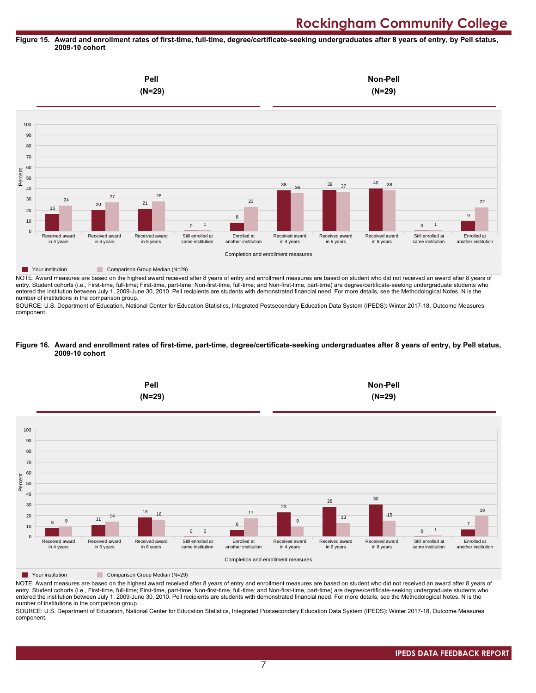#### **Figure 15. Award and enrollment rates of first-time, full-time, degree/certificate-seeking undergraduates after 8 years of entry, by Pell status, 2009-10 cohort**



NOTE: Award measures are based on the highest award received after 8 years of entry and enrollment measures are based on student who did not received an award after 8 years of entry. Student cohorts (i.e., First-time, full-time; First-time, part-time; Non-first-time, full-time; and Non-first-time, part-time) are degree/certificate-seeking undergraduate students who entered the institution between July 1, 2009-June 30, 2010. Pell recipients are students with demonstrated financial need. For more details, see the Methodological Notes. N is the number of institutions in the comparison group.

SOURCE: U.S. Department of Education, National Center for Education Statistics, Integrated Postsecondary Education Data System (IPEDS): Winter 2017-18, Outcome Measures component.

#### **Figure 16. Award and enrollment rates of first-time, part-time, degree/certificate-seeking undergraduates after 8 years of entry, by Pell status, 2009-10 cohort**



NOTE: Award measures are based on the highest award received after 8 years of entry and enrollment measures are based on student who did not received an award after 8 years of entry. Student cohorts (i.e., First-time, full-time; First-time, part-time; Non-first-time, full-time; and Non-first-time, part-time) are degree/certificate-seeking undergraduate students who entered the institution between July 1, 2009-June 30, 2010. Pell recipients are students with demonstrated financial need. For more details, see the Methodological Notes. N is the number of institutions in the comparison group.

SOURCE: U.S. Department of Education, National Center for Education Statistics, Integrated Postsecondary Education Data System (IPEDS): Winter 2017-18, Outcome Measures component.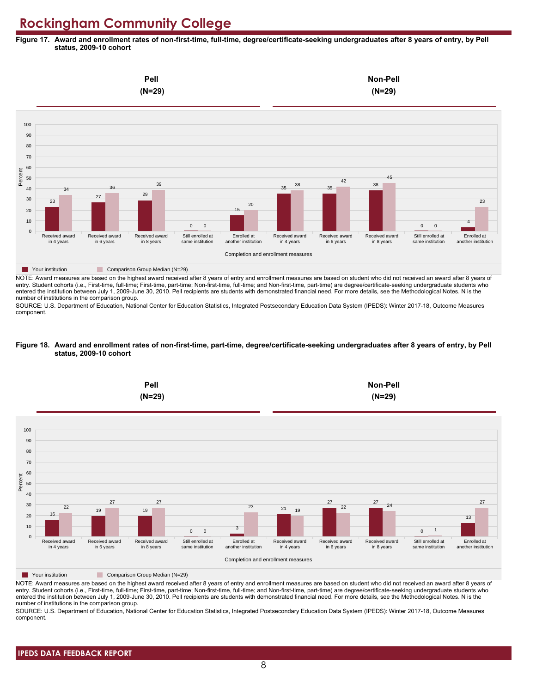**Figure 17. Award and enrollment rates of non-first-time, full-time, degree/certificate-seeking undergraduates after 8 years of entry, by Pell status, 2009-10 cohort**



NOTE: Award measures are based on the highest award received after 8 years of entry and enrollment measures are based on student who did not received an award after 8 years of entry. Student cohorts (i.e., First-time, full-time; First-time, part-time; Non-first-time, full-time; and Non-first-time, part-time) are degree/certificate-seeking undergraduate students who entered the institution between July 1, 2009-June 30, 2010. Pell recipients are students with demonstrated financial need. For more details, see the Methodological Notes. N is the number of institutions in the comparison group.

SOURCE: U.S. Department of Education, National Center for Education Statistics, Integrated Postsecondary Education Data System (IPEDS): Winter 2017-18, Outcome Measures component.

#### **Figure 18. Award and enrollment rates of non-first-time, part-time, degree/certificate-seeking undergraduates after 8 years of entry, by Pell status, 2009-10 cohort**



NOTE: Award measures are based on the highest award received after 8 years of entry and enrollment measures are based on student who did not received an award after 8 years of entry. Student cohorts (i.e., First-time, full-time; First-time, part-time; Non-first-time, full-time; and Non-first-time, part-time) are degree/certificate-seeking undergraduate students who entered the institution between July 1, 2009-June 30, 2010. Pell recipients are students with demonstrated financial need. For more details, see the Methodological Notes. N is the number of institutions in the comparison group.

SOURCE: U.S. Department of Education, National Center for Education Statistics, Integrated Postsecondary Education Data System (IPEDS): Winter 2017-18, Outcome Measures component.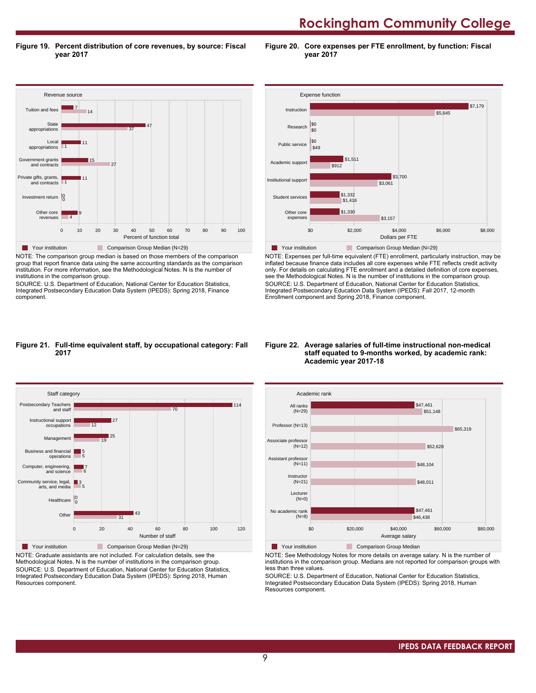**Rockingham Community College** 

**Figure 19. Percent distribution of core revenues, by source: Fiscal year 2017**

**Figure 20. Core expenses per FTE enrollment, by function: Fiscal year 2017**



NOTE: The comparison group median is based on those members of the comparison group that report finance data using the same accounting standards as the comparison institution. For more information, see the Methodological Notes. N is the number of institutions in the comparison group.

SOURCE: U.S. Department of Education, National Center for Education Statistics, Integrated Postsecondary Education Data System (IPEDS): Spring 2018, Finance component.



NOTE: Expenses per full-time equivalent (FTE) enrollment, particularly instruction, may be inflated because finance data includes all core expenses while FTE reflects credit activity only. For details on calculating FTE enrollment and a detailed definition of core expenses, see the Methodological Notes. N is the number of institutions in the comparison group. SOURCE: U.S. Department of Education, National Center for Education Statistics, Integrated Postsecondary Education Data System (IPEDS): Fall 2017, 12-month Enrollment component and Spring 2018, Finance component.

#### **Figure 21. Full-time equivalent staff, by occupational category: Fall 2017**



NOTE: Graduate assistants are not included. For calculation details, see the Methodological Notes. N is the number of institutions in the comparison group. SOURCE: U.S. Department of Education, National Center for Education Statistics, Integrated Postsecondary Education Data System (IPEDS): Spring 2018, Human Resources component.

#### **Figure 22. Average salaries of full-time instructional non-medical staff equated to 9-months worked, by academic rank: Academic year 2017-18**



NOTE: See Methodology Notes for more details on average salary. N is the number of institutions in the comparison group. Medians are not reported for comparison groups with less than three values.

SOURCE: U.S. Department of Education, National Center for Education Statistics, Integrated Postsecondary Education Data System (IPEDS): Spring 2018, Human Resources component.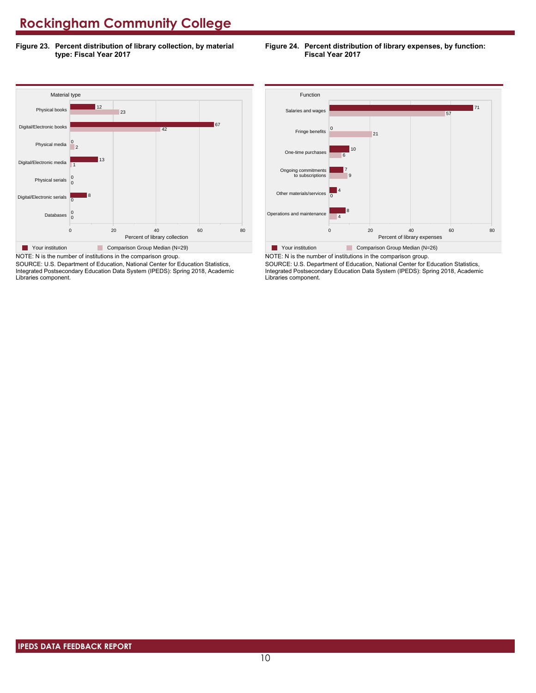**Figure 23. Percent distribution of library collection, by material type: Fiscal Year 2017**

### **Figure 24. Percent distribution of library expenses, by function: Fiscal Year 2017**



NOTE: N is the number of institutions in the comparison group. SOURCE: U.S. Department of Education, National Center for Education Statistics, Integrated Postsecondary Education Data System (IPEDS): Spring 2018, Academic Libraries component.



SOURCE: U.S. Department of Education, National Center for Education Statistics, Integrated Postsecondary Education Data System (IPEDS): Spring 2018, Academic Libraries component.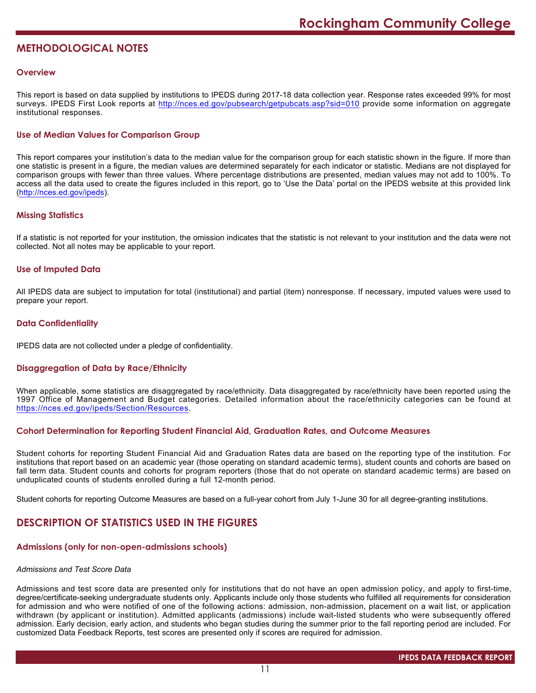# **METHODOLOGICAL NOTES**

## **Overview**

This report is based on data supplied by institutions to IPEDS during 2017-18 data collection year. Response rates exceeded 99% for most surveys. IPEDS First Look reports at <http://nces.ed.gov/pubsearch/getpubcats.asp?sid=010> provide some information on aggregate institutional responses.

# **Use of Median Values for Comparison Group**

This report compares your institution's data to the median value for the comparison group for each statistic shown in the figure. If more than one statistic is present in a figure, the median values are determined separately for each indicator or statistic. Medians are not displayed for comparison groups with fewer than three values. Where percentage distributions are presented, median values may not add to 100%. To access all the data used to create the figures included in this report, go to 'Use the Data' portal on the IPEDS website at this provided link (<http://nces.ed.gov/ipeds>).

# **Missing Statistics**

If a statistic is not reported for your institution, the omission indicates that the statistic is not relevant to your institution and the data were not collected. Not all notes may be applicable to your report.

# **Use of Imputed Data**

All IPEDS data are subject to imputation for total (institutional) and partial (item) nonresponse. If necessary, imputed values were used to prepare your report.

# **Data Confidentiality**

IPEDS data are not collected under a pledge of confidentiality.

# **Disaggregation of Data by Race/Ethnicity**

When applicable, some statistics are disaggregated by race/ethnicity. Data disaggregated by race/ethnicity have been reported using the 1997 Office of Management and Budget categories. Detailed information about the race/ethnicity categories can be found at <https://nces.ed.gov/ipeds/Section/Resources>.

### **Cohort Determination for Reporting Student Financial Aid, Graduation Rates, and Outcome Measures**

Student cohorts for reporting Student Financial Aid and Graduation Rates data are based on the reporting type of the institution. For institutions that report based on an academic year (those operating on standard academic terms), student counts and cohorts are based on fall term data. Student counts and cohorts for program reporters (those that do not operate on standard academic terms) are based on unduplicated counts of students enrolled during a full 12-month period.

Student cohorts for reporting Outcome Measures are based on a full-year cohort from July 1-June 30 for all degree-granting institutions.

# **DESCRIPTION OF STATISTICS USED IN THE FIGURES**

### **Admissions (only for non-open-admissions schools)**

### *Admissions and Test Score Data*

Admissions and test score data are presented only for institutions that do not have an open admission policy, and apply to first-time, degree/certificate-seeking undergraduate students only. Applicants include only those students who fulfilled all requirements for consideration for admission and who were notified of one of the following actions: admission, non-admission, placement on a wait list, or application withdrawn (by applicant or institution). Admitted applicants (admissions) include wait-listed students who were subsequently offered admission. Early decision, early action, and students who began studies during the summer prior to the fall reporting period are included. For customized Data Feedback Reports, test scores are presented only if scores are required for admission.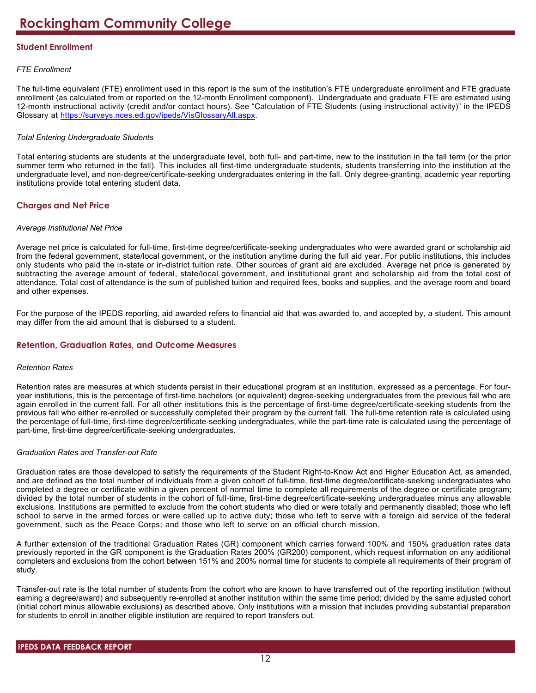# **Student Enrollment**

# *FTE Enrollment*

The full-time equivalent (FTE) enrollment used in this report is the sum of the institution's FTE undergraduate enrollment and FTE graduate enrollment (as calculated from or reported on the 12-month Enrollment component). Undergraduate and graduate FTE are estimated using 12-month instructional activity (credit and/or contact hours). See "Calculation of FTE Students (using instructional activity)" in the IPEDS Glossary at <https://surveys.nces.ed.gov/ipeds/VisGlossaryAll.aspx>.

# *Total Entering Undergraduate Students*

Total entering students are students at the undergraduate level, both full- and part-time, new to the institution in the fall term (or the prior summer term who returned in the fall). This includes all first-time undergraduate students, students transferring into the institution at the undergraduate level, and non-degree/certificate-seeking undergraduates entering in the fall. Only degree-granting, academic year reporting institutions provide total entering student data.

# **Charges and Net Price**

## *Average Institutional Net Price*

Average net price is calculated for full-time, first-time degree/certificate-seeking undergraduates who were awarded grant or scholarship aid from the federal government, state/local government, or the institution anytime during the full aid year. For public institutions, this includes only students who paid the in-state or in-district tuition rate. Other sources of grant aid are excluded. Average net price is generated by subtracting the average amount of federal, state/local government, and institutional grant and scholarship aid from the total cost of attendance. Total cost of attendance is the sum of published tuition and required fees, books and supplies, and the average room and board and other expenses.

For the purpose of the IPEDS reporting, aid awarded refers to financial aid that was awarded to, and accepted by, a student. This amount may differ from the aid amount that is disbursed to a student.

# **Retention, Graduation Rates, and Outcome Measures**

### *Retention Rates*

Retention rates are measures at which students persist in their educational program at an institution, expressed as a percentage. For fouryear institutions, this is the percentage of first-time bachelors (or equivalent) degree-seeking undergraduates from the previous fall who are again enrolled in the current fall. For all other institutions this is the percentage of first-time degree/certificate-seeking students from the previous fall who either re-enrolled or successfully completed their program by the current fall. The full-time retention rate is calculated using the percentage of full-time, first-time degree/certificate-seeking undergraduates, while the part-time rate is calculated using the percentage of part-time, first-time degree/certificate-seeking undergraduates.

# *Graduation Rates and Transfer-out Rate*

Graduation rates are those developed to satisfy the requirements of the Student Right-to-Know Act and Higher Education Act, as amended, and are defined as the total number of individuals from a given cohort of full-time, first-time degree/certificate-seeking undergraduates who completed a degree or certificate within a given percent of normal time to complete all requirements of the degree or certificate program; divided by the total number of students in the cohort of full-time, first-time degree/certificate-seeking undergraduates minus any allowable exclusions. Institutions are permitted to exclude from the cohort students who died or were totally and permanently disabled; those who left school to serve in the armed forces or were called up to active duty; those who left to serve with a foreign aid service of the federal government, such as the Peace Corps; and those who left to serve on an official church mission.

A further extension of the traditional Graduation Rates (GR) component which carries forward 100% and 150% graduation rates data previously reported in the GR component is the Graduation Rates 200% (GR200) component, which request information on any additional completers and exclusions from the cohort between 151% and 200% normal time for students to complete all requirements of their program of study.

Transfer-out rate is the total number of students from the cohort who are known to have transferred out of the reporting institution (without earning a degree/award) and subsequently re-enrolled at another institution within the same time period; divided by the same adjusted cohort (initial cohort minus allowable exclusions) as described above. Only institutions with a mission that includes providing substantial preparation for students to enroll in another eligible institution are required to report transfers out.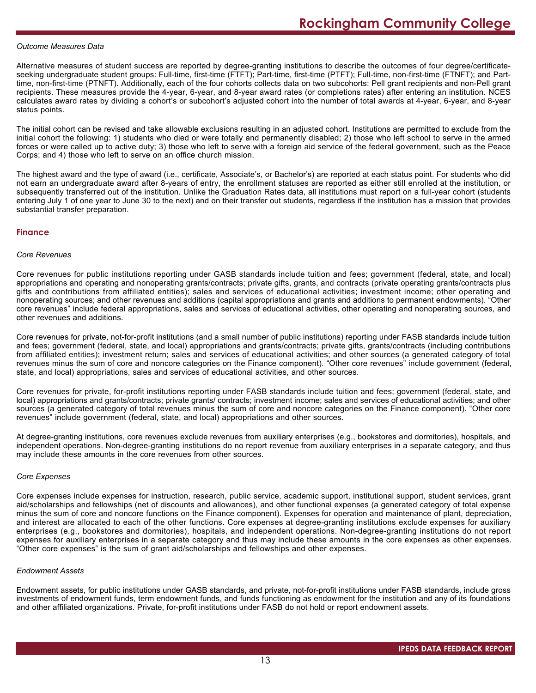#### *Outcome Measures Data*

Alternative measures of student success are reported by degree-granting institutions to describe the outcomes of four degree/certificateseeking undergraduate student groups: Full-time, first-time (FTFT); Part-time, first-time (PTFT); Full-time, non-first-time (FTNFT); and Parttime, non-first-time (PTNFT). Additionally, each of the four cohorts collects data on two subcohorts: Pell grant recipients and non-Pell grant recipients. These measures provide the 4-year, 6-year, and 8-year award rates (or completions rates) after entering an institution. NCES calculates award rates by dividing a cohort's or subcohort's adjusted cohort into the number of total awards at 4-year, 6-year, and 8-year status points.

The initial cohort can be revised and take allowable exclusions resulting in an adjusted cohort. Institutions are permitted to exclude from the initial cohort the following: 1) students who died or were totally and permanently disabled; 2) those who left school to serve in the armed forces or were called up to active duty; 3) those who left to serve with a foreign aid service of the federal government, such as the Peace Corps; and 4) those who left to serve on an office church mission.

The highest award and the type of award (i.e., certificate, Associate's, or Bachelor's) are reported at each status point. For students who did not earn an undergraduate award after 8-years of entry, the enrollment statuses are reported as either still enrolled at the institution, or subsequently transferred out of the institution. Unlike the Graduation Rates data, all institutions must report on a full-year cohort (students entering July 1 of one year to June 30 to the next) and on their transfer out students, regardless if the institution has a mission that provides substantial transfer preparation.

### **Finance**

#### *Core Revenues*

Core revenues for public institutions reporting under GASB standards include tuition and fees; government (federal, state, and local) appropriations and operating and nonoperating grants/contracts; private gifts, grants, and contracts (private operating grants/contracts plus gifts and contributions from affiliated entities); sales and services of educational activities; investment income; other operating and nonoperating sources; and other revenues and additions (capital appropriations and grants and additions to permanent endowments). "Other core revenues" include federal appropriations, sales and services of educational activities, other operating and nonoperating sources, and other revenues and additions.

Core revenues for private, not-for-profit institutions (and a small number of public institutions) reporting under FASB standards include tuition and fees; government (federal, state, and local) appropriations and grants/contracts; private gifts, grants/contracts (including contributions from affiliated entities); investment return; sales and services of educational activities; and other sources (a generated category of total revenues minus the sum of core and noncore categories on the Finance component). "Other core revenues" include government (federal, state, and local) appropriations, sales and services of educational activities, and other sources.

Core revenues for private, for-profit institutions reporting under FASB standards include tuition and fees; government (federal, state, and local) appropriations and grants/contracts; private grants/ contracts; investment income; sales and services of educational activities; and other sources (a generated category of total revenues minus the sum of core and noncore categories on the Finance component). "Other core revenues" include government (federal, state, and local) appropriations and other sources.

At degree-granting institutions, core revenues exclude revenues from auxiliary enterprises (e.g., bookstores and dormitories), hospitals, and independent operations. Non-degree-granting institutions do no report revenue from auxiliary enterprises in a separate category, and thus may include these amounts in the core revenues from other sources.

#### *Core Expenses*

Core expenses include expenses for instruction, research, public service, academic support, institutional support, student services, grant aid/scholarships and fellowships (net of discounts and allowances), and other functional expenses (a generated category of total expense minus the sum of core and noncore functions on the Finance component). Expenses for operation and maintenance of plant, depreciation, and interest are allocated to each of the other functions. Core expenses at degree-granting institutions exclude expenses for auxiliary enterprises (e.g., bookstores and dormitories), hospitals, and independent operations. Non-degree-granting institutions do not report expenses for auxiliary enterprises in a separate category and thus may include these amounts in the core expenses as other expenses. "Other core expenses" is the sum of grant aid/scholarships and fellowships and other expenses.

#### *Endowment Assets*

Endowment assets, for public institutions under GASB standards, and private, not-for-profit institutions under FASB standards, include gross investments of endowment funds, term endowment funds, and funds functioning as endowment for the institution and any of its foundations and other affiliated organizations. Private, for-profit institutions under FASB do not hold or report endowment assets.